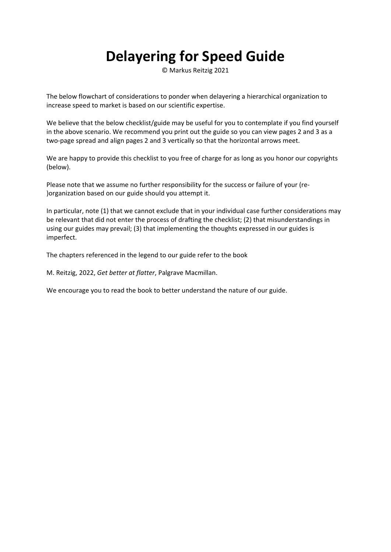## **Delayering for Speed Guide**

© Markus Reitzig 2021

The below flowchart of considerations to ponder when delayering a hierarchical organization to increase speed to market is based on our scientific expertise.

We believe that the below checklist/guide may be useful for you to contemplate if you find yourself in the above scenario. We recommend you print out the guide so you can view pages 2 and 3 as a two-page spread and align pages 2 and 3 vertically so that the horizontal arrows meet.

We are happy to provide this checklist to you free of charge for as long as you honor our copyrights (below).

Please note that we assume no further responsibility for the success or failure of your (re‐ )organization based on our guide should you attempt it.

In particular, note (1) that we cannot exclude that in your individual case further considerations may be relevant that did not enter the process of drafting the checklist; (2) that misunderstandings in using our guides may prevail; (3) that implementing the thoughts expressed in our guides is imperfect.

The chapters referenced in the legend to our guide refer to the book

M. Reitzig, 2022, *Get better at flatter*, Palgrave Macmillan.

We encourage you to read the book to better understand the nature of our guide.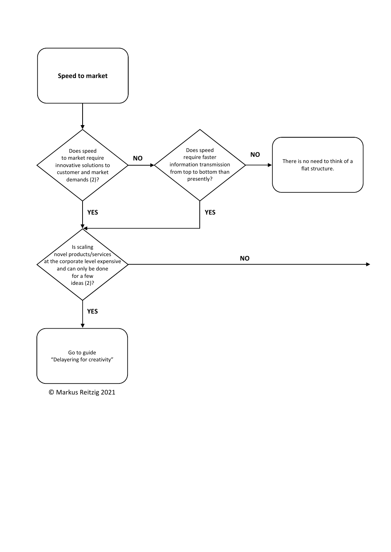